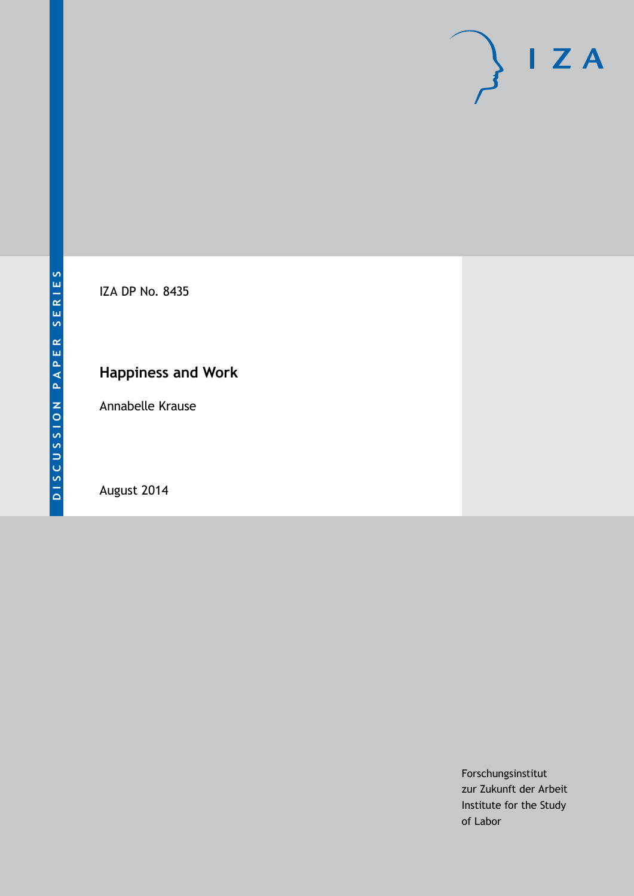

IZA DP No. 8435

# **Happiness and Work**

Annabelle Krause

August 2014

Forschungsinstitut zur Zukunft der Arbeit Institute for the Study of Labor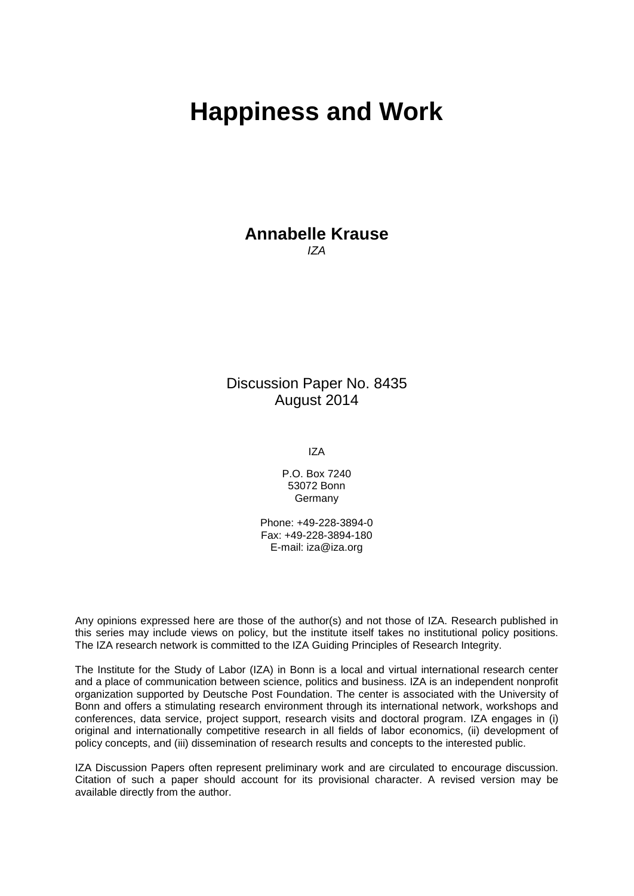# **Happiness and Work**

#### **Annabelle Krause** *IZA*

Discussion Paper No. 8435 August 2014

IZA

P.O. Box 7240 53072 Bonn Germany

Phone: +49-228-3894-0 Fax: +49-228-3894-180 E-mail: [iza@iza.org](mailto:iza@iza.org)

Any opinions expressed here are those of the author(s) and not those of IZA. Research published in this series may include views on policy, but the institute itself takes no institutional policy positions. The IZA research network is committed to the IZA Guiding Principles of Research Integrity.

The Institute for the Study of Labor (IZA) in Bonn is a local and virtual international research center and a place of communication between science, politics and business. IZA is an independent nonprofit organization supported by Deutsche Post Foundation. The center is associated with the University of Bonn and offers a stimulating research environment through its international network, workshops and conferences, data service, project support, research visits and doctoral program. IZA engages in (i) original and internationally competitive research in all fields of labor economics, (ii) development of policy concepts, and (iii) dissemination of research results and concepts to the interested public.

<span id="page-1-0"></span>IZA Discussion Papers often represent preliminary work and are circulated to encourage discussion. Citation of such a paper should account for its provisional character. A revised version may be available directly from the author.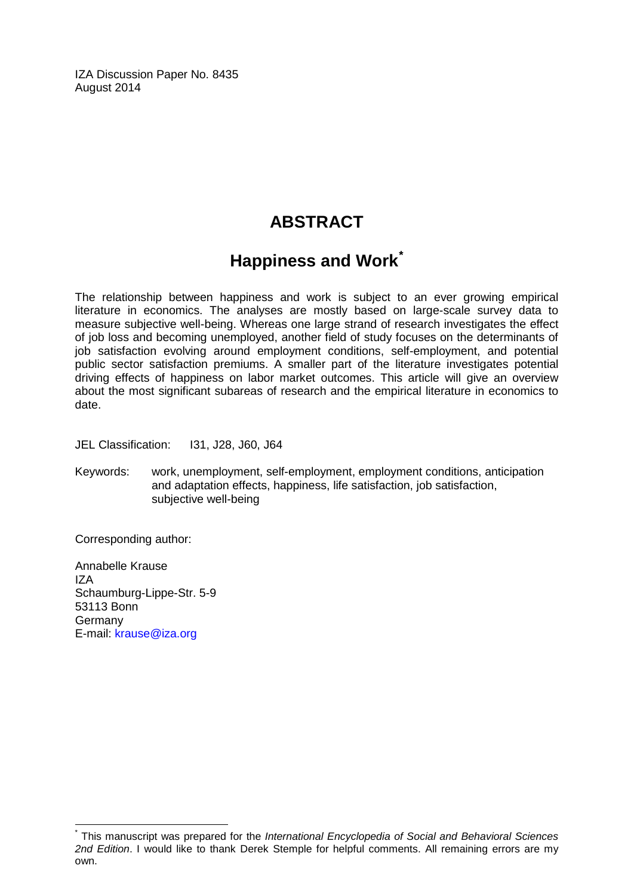IZA Discussion Paper No. 8435 August 2014

# **ABSTRACT**

# **Happiness and Work[\\*](#page-1-0)**

The relationship between happiness and work is subject to an ever growing empirical literature in economics. The analyses are mostly based on large-scale survey data to measure subjective well-being. Whereas one large strand of research investigates the effect of job loss and becoming unemployed, another field of study focuses on the determinants of job satisfaction evolving around employment conditions, self-employment, and potential public sector satisfaction premiums. A smaller part of the literature investigates potential driving effects of happiness on labor market outcomes. This article will give an overview about the most significant subareas of research and the empirical literature in economics to date.

JEL Classification: I31, J28, J60, J64

Keywords: work, unemployment, self-employment, employment conditions, anticipation and adaptation effects, happiness, life satisfaction, job satisfaction, subjective well-being

Corresponding author:

Annabelle Krause IZA Schaumburg-Lippe-Str. 5-9 53113 Bonn Germany E-mail: [krause@iza.org](mailto:krause@iza.org)

\* This manuscript was prepared for the *International Encyclopedia of Social and Behavioral Sciences 2nd Edition*. I would like to thank Derek Stemple for helpful comments. All remaining errors are my own.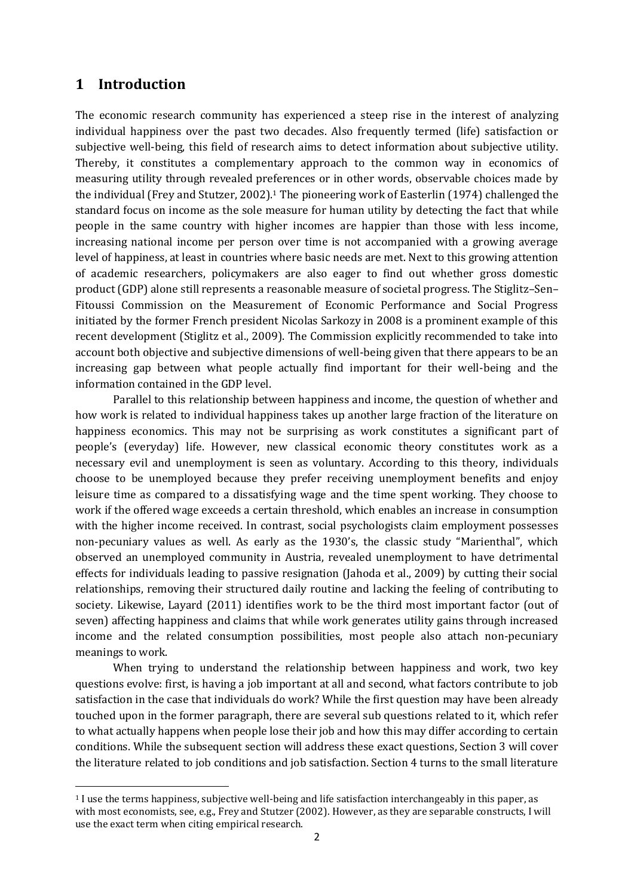#### **1 Introduction**

 $\overline{a}$ 

The economic research community has experienced a steep rise in the interest of analyzing individual happiness over the past two decades. Also frequently termed (life) satisfaction or subjective well-being, this field of research aims to detect information about subjective utility. Thereby, it constitutes a complementary approach to the common way in economics of measuring utility through revealed preferences or in other words, observable choices made by the individual (Frey and Stutzer, 2002).<sup>1</sup> The pioneering work of Easterlin (1974) challenged the standard focus on income as the sole measure for human utility by detecting the fact that while people in the same country with higher incomes are happier than those with less income, increasing national income per person over time is not accompanied with a growing average level of happiness, at least in countries where basic needs are met. Next to this growing attention of academic researchers, policymakers are also eager to find out whether gross domestic product (GDP) alone still represents a reasonable measure of societal progress. The Stiglitz–Sen– Fitoussi Commission on the Measurement of Economic Performance and Social Progress initiated by the former French president Nicolas Sarkozy in 2008 is a prominent example of this recent development (Stiglitz et al., 2009). The Commission explicitly recommended to take into account both objective and subjective dimensions of well-being given that there appears to be an increasing gap between what people actually find important for their well-being and the information contained in the GDP level.

Parallel to this relationship between happiness and income, the question of whether and how work is related to individual happiness takes up another large fraction of the literature on happiness economics. This may not be surprising as work constitutes a significant part of people's (everyday) life. However, new classical economic theory constitutes work as a necessary evil and unemployment is seen as voluntary. According to this theory, individuals choose to be unemployed because they prefer receiving unemployment benefits and enjoy leisure time as compared to a dissatisfying wage and the time spent working. They choose to work if the offered wage exceeds a certain threshold, which enables an increase in consumption with the higher income received. In contrast, social psychologists claim employment possesses non-pecuniary values as well. As early as the 1930's, the classic study "Marienthal", which observed an unemployed community in Austria, revealed unemployment to have detrimental effects for individuals leading to passive resignation (Jahoda et al., 2009) by cutting their social relationships, removing their structured daily routine and lacking the feeling of contributing to society. Likewise, Layard (2011) identifies work to be the third most important factor (out of seven) affecting happiness and claims that while work generates utility gains through increased income and the related consumption possibilities, most people also attach non-pecuniary meanings to work.

When trying to understand the relationship between happiness and work, two key questions evolve: first, is having a job important at all and second, what factors contribute to job satisfaction in the case that individuals do work? While the first question may have been already touched upon in the former paragraph, there are several sub questions related to it, which refer to what actually happens when people lose their job and how this may differ according to certain conditions. While the subsequent section will address these exact questions, Section 3 will cover the literature related to job conditions and job satisfaction. Section 4 turns to the small literature

<sup>1</sup> I use the terms happiness, subjective well-being and life satisfaction interchangeably in this paper, as with most economists, see, e.g., Frey and Stutzer (2002). However, as they are separable constructs, I will use the exact term when citing empirical research.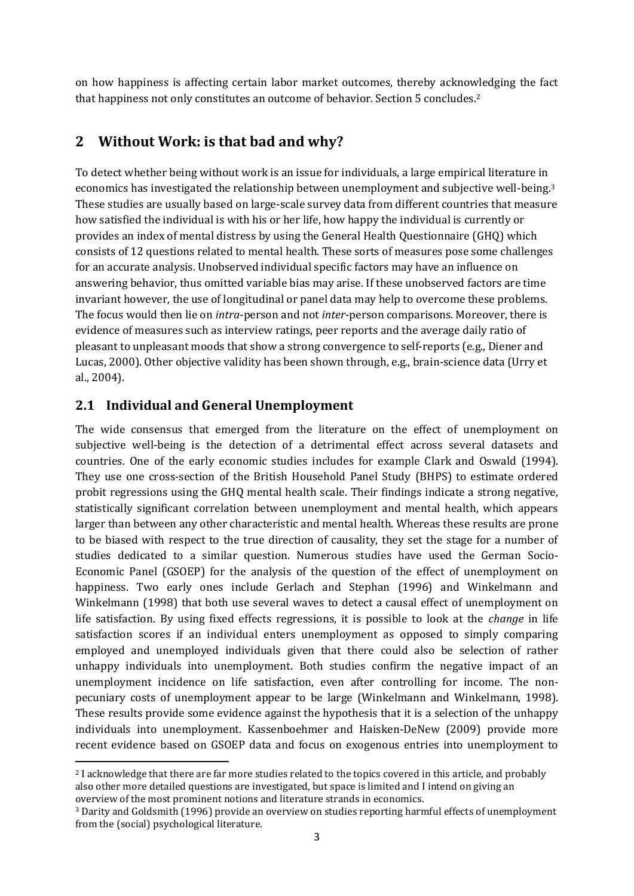on how happiness is affecting certain labor market outcomes, thereby acknowledging the fact that happiness not only constitutes an outcome of behavior. Section 5 concludes.<sup>2</sup>

# **2 Without Work: is that bad and why?**

To detect whether being without work is an issue for individuals, a large empirical literature in economics has investigated the relationship between unemployment and subjective well-being.<sup>3</sup> These studies are usually based on large-scale survey data from different countries that measure how satisfied the individual is with his or her life, how happy the individual is currently or provides an index of mental distress by using the General Health Questionnaire (GHQ) which consists of 12 questions related to mental health. These sorts of measures pose some challenges for an accurate analysis. Unobserved individual specific factors may have an influence on answering behavior, thus omitted variable bias may arise. If these unobserved factors are time invariant however, the use of longitudinal or panel data may help to overcome these problems. The focus would then lie on *intra*-person and not *inter*-person comparisons. Moreover, there is evidence of measures such as interview ratings, peer reports and the average daily ratio of pleasant to unpleasant moods that show a strong convergence to self-reports (e.g., Diener and Lucas, 2000). Other objective validity has been shown through, e.g., brain-science data (Urry et al., 2004).

### **2.1 Individual and General Unemployment**

**.** 

The wide consensus that emerged from the literature on the effect of unemployment on subjective well-being is the detection of a detrimental effect across several datasets and countries. One of the early economic studies includes for example Clark and Oswald (1994). They use one cross-section of the British Household Panel Study (BHPS) to estimate ordered probit regressions using the GHQ mental health scale. Their findings indicate a strong negative, statistically significant correlation between unemployment and mental health, which appears larger than between any other characteristic and mental health. Whereas these results are prone to be biased with respect to the true direction of causality, they set the stage for a number of studies dedicated to a similar question. Numerous studies have used the German Socio-Economic Panel (GSOEP) for the analysis of the question of the effect of unemployment on happiness. Two early ones include Gerlach and Stephan (1996) and Winkelmann and Winkelmann (1998) that both use several waves to detect a causal effect of unemployment on life satisfaction. By using fixed effects regressions, it is possible to look at the *change* in life satisfaction scores if an individual enters unemployment as opposed to simply comparing employed and unemployed individuals given that there could also be selection of rather unhappy individuals into unemployment. Both studies confirm the negative impact of an unemployment incidence on life satisfaction, even after controlling for income. The nonpecuniary costs of unemployment appear to be large (Winkelmann and Winkelmann, 1998). These results provide some evidence against the hypothesis that it is a selection of the unhappy individuals into unemployment. Kassenboehmer and Haisken-DeNew (2009) provide more recent evidence based on GSOEP data and focus on exogenous entries into unemployment to

<sup>&</sup>lt;sup>2</sup> I acknowledge that there are far more studies related to the topics covered in this article, and probably also other more detailed questions are investigated, but space is limited and I intend on giving an overview of the most prominent notions and literature strands in economics.

<sup>3</sup> Darity and Goldsmith (1996) provide an overview on studies reporting harmful effects of unemployment from the (social) psychological literature.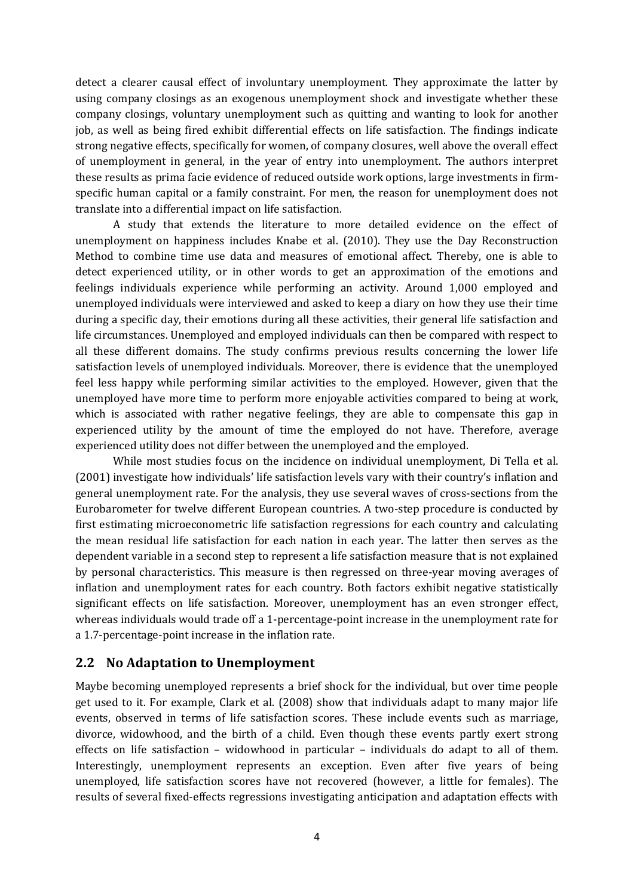detect a clearer causal effect of involuntary unemployment. They approximate the latter by using company closings as an exogenous unemployment shock and investigate whether these company closings, voluntary unemployment such as quitting and wanting to look for another job, as well as being fired exhibit differential effects on life satisfaction. The findings indicate strong negative effects, specifically for women, of company closures, well above the overall effect of unemployment in general, in the year of entry into unemployment. The authors interpret these results as prima facie evidence of reduced outside work options, large investments in firmspecific human capital or a family constraint. For men, the reason for unemployment does not translate into a differential impact on life satisfaction.

A study that extends the literature to more detailed evidence on the effect of unemployment on happiness includes Knabe et al. (2010). They use the Day Reconstruction Method to combine time use data and measures of emotional affect. Thereby, one is able to detect experienced utility, or in other words to get an approximation of the emotions and feelings individuals experience while performing an activity. Around 1,000 employed and unemployed individuals were interviewed and asked to keep a diary on how they use their time during a specific day, their emotions during all these activities, their general life satisfaction and life circumstances. Unemployed and employed individuals can then be compared with respect to all these different domains. The study confirms previous results concerning the lower life satisfaction levels of unemployed individuals. Moreover, there is evidence that the unemployed feel less happy while performing similar activities to the employed. However, given that the unemployed have more time to perform more enjoyable activities compared to being at work, which is associated with rather negative feelings, they are able to compensate this gap in experienced utility by the amount of time the employed do not have. Therefore, average experienced utility does not differ between the unemployed and the employed.

While most studies focus on the incidence on individual unemployment, Di Tella et al. (2001) investigate how individuals' life satisfaction levels vary with their country's inflation and general unemployment rate. For the analysis, they use several waves of cross-sections from the Eurobarometer for twelve different European countries. A two-step procedure is conducted by first estimating microeconometric life satisfaction regressions for each country and calculating the mean residual life satisfaction for each nation in each year. The latter then serves as the dependent variable in a second step to represent a life satisfaction measure that is not explained by personal characteristics. This measure is then regressed on three-year moving averages of inflation and unemployment rates for each country. Both factors exhibit negative statistically significant effects on life satisfaction. Moreover, unemployment has an even stronger effect, whereas individuals would trade off a 1-percentage-point increase in the unemployment rate for a 1.7-percentage-point increase in the inflation rate.

#### **2.2 No Adaptation to Unemployment**

Maybe becoming unemployed represents a brief shock for the individual, but over time people get used to it. For example, Clark et al. (2008) show that individuals adapt to many major life events, observed in terms of life satisfaction scores. These include events such as marriage, divorce, widowhood, and the birth of a child. Even though these events partly exert strong effects on life satisfaction – widowhood in particular – individuals do adapt to all of them. Interestingly, unemployment represents an exception. Even after five years of being unemployed, life satisfaction scores have not recovered (however, a little for females). The results of several fixed-effects regressions investigating anticipation and adaptation effects with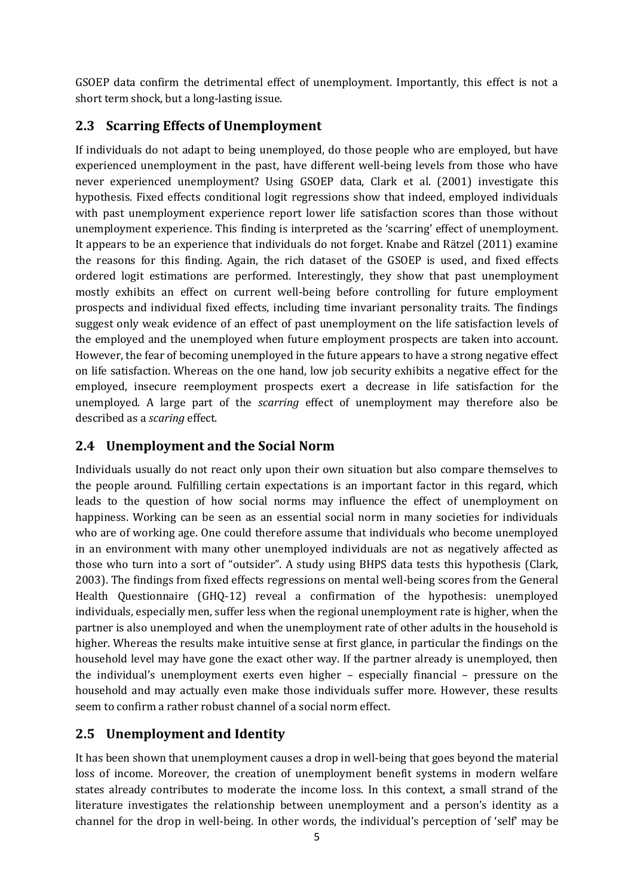GSOEP data confirm the detrimental effect of unemployment. Importantly, this effect is not a short term shock, but a long-lasting issue.

## **2.3 Scarring Effects of Unemployment**

If individuals do not adapt to being unemployed, do those people who are employed, but have experienced unemployment in the past, have different well-being levels from those who have never experienced unemployment? Using GSOEP data, Clark et al. (2001) investigate this hypothesis. Fixed effects conditional logit regressions show that indeed, employed individuals with past unemployment experience report lower life satisfaction scores than those without unemployment experience. This finding is interpreted as the 'scarring' effect of unemployment. It appears to be an experience that individuals do not forget. Knabe and Rätzel (2011) examine the reasons for this finding. Again, the rich dataset of the GSOEP is used, and fixed effects ordered logit estimations are performed. Interestingly, they show that past unemployment mostly exhibits an effect on current well-being before controlling for future employment prospects and individual fixed effects, including time invariant personality traits. The findings suggest only weak evidence of an effect of past unemployment on the life satisfaction levels of the employed and the unemployed when future employment prospects are taken into account. However, the fear of becoming unemployed in the future appears to have a strong negative effect on life satisfaction. Whereas on the one hand, low job security exhibits a negative effect for the employed, insecure reemployment prospects exert a decrease in life satisfaction for the unemployed. A large part of the *scarring* effect of unemployment may therefore also be described as a *scaring* effect.

#### **2.4 Unemployment and the Social Norm**

Individuals usually do not react only upon their own situation but also compare themselves to the people around. Fulfilling certain expectations is an important factor in this regard, which leads to the question of how social norms may influence the effect of unemployment on happiness. Working can be seen as an essential social norm in many societies for individuals who are of working age. One could therefore assume that individuals who become unemployed in an environment with many other unemployed individuals are not as negatively affected as those who turn into a sort of "outsider". A study using BHPS data tests this hypothesis (Clark, 2003). The findings from fixed effects regressions on mental well-being scores from the General Health Questionnaire (GHQ-12) reveal a confirmation of the hypothesis: unemployed individuals, especially men, suffer less when the regional unemployment rate is higher, when the partner is also unemployed and when the unemployment rate of other adults in the household is higher. Whereas the results make intuitive sense at first glance, in particular the findings on the household level may have gone the exact other way. If the partner already is unemployed, then the individual's unemployment exerts even higher – especially financial – pressure on the household and may actually even make those individuals suffer more. However, these results seem to confirm a rather robust channel of a social norm effect.

# **2.5 Unemployment and Identity**

It has been shown that unemployment causes a drop in well-being that goes beyond the material loss of income. Moreover, the creation of unemployment benefit systems in modern welfare states already contributes to moderate the income loss. In this context, a small strand of the literature investigates the relationship between unemployment and a person's identity as a channel for the drop in well-being. In other words, the individual's perception of 'self' may be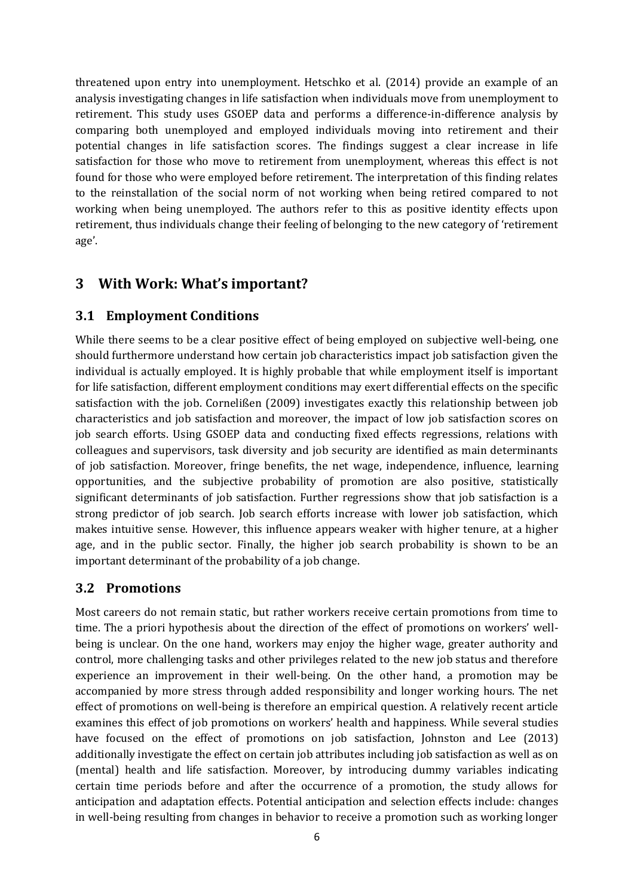threatened upon entry into unemployment. Hetschko et al. (2014) provide an example of an analysis investigating changes in life satisfaction when individuals move from unemployment to retirement. This study uses GSOEP data and performs a difference-in-difference analysis by comparing both unemployed and employed individuals moving into retirement and their potential changes in life satisfaction scores. The findings suggest a clear increase in life satisfaction for those who move to retirement from unemployment, whereas this effect is not found for those who were employed before retirement. The interpretation of this finding relates to the reinstallation of the social norm of not working when being retired compared to not working when being unemployed. The authors refer to this as positive identity effects upon retirement, thus individuals change their feeling of belonging to the new category of 'retirement age'.

# **3 With Work: What's important?**

#### **3.1 Employment Conditions**

While there seems to be a clear positive effect of being employed on subjective well-being, one should furthermore understand how certain job characteristics impact job satisfaction given the individual is actually employed. It is highly probable that while employment itself is important for life satisfaction, different employment conditions may exert differential effects on the specific satisfaction with the job. Cornelißen (2009) investigates exactly this relationship between job characteristics and job satisfaction and moreover, the impact of low job satisfaction scores on job search efforts. Using GSOEP data and conducting fixed effects regressions, relations with colleagues and supervisors, task diversity and job security are identified as main determinants of job satisfaction. Moreover, fringe benefits, the net wage, independence, influence, learning opportunities, and the subjective probability of promotion are also positive, statistically significant determinants of job satisfaction. Further regressions show that job satisfaction is a strong predictor of job search. Job search efforts increase with lower job satisfaction, which makes intuitive sense. However, this influence appears weaker with higher tenure, at a higher age, and in the public sector. Finally, the higher job search probability is shown to be an important determinant of the probability of a job change.

#### **3.2 Promotions**

Most careers do not remain static, but rather workers receive certain promotions from time to time. The a priori hypothesis about the direction of the effect of promotions on workers' wellbeing is unclear. On the one hand, workers may enjoy the higher wage, greater authority and control, more challenging tasks and other privileges related to the new job status and therefore experience an improvement in their well-being. On the other hand, a promotion may be accompanied by more stress through added responsibility and longer working hours. The net effect of promotions on well-being is therefore an empirical question. A relatively recent article examines this effect of job promotions on workers' health and happiness. While several studies have focused on the effect of promotions on job satisfaction, Johnston and Lee (2013) additionally investigate the effect on certain job attributes including job satisfaction as well as on (mental) health and life satisfaction. Moreover, by introducing dummy variables indicating certain time periods before and after the occurrence of a promotion, the study allows for anticipation and adaptation effects. Potential anticipation and selection effects include: changes in well-being resulting from changes in behavior to receive a promotion such as working longer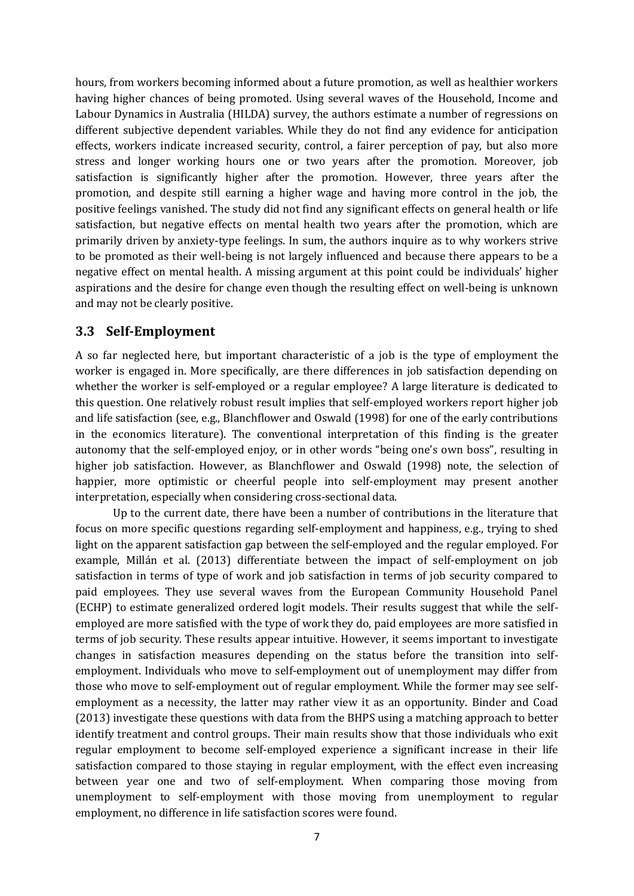hours, from workers becoming informed about a future promotion, as well as healthier workers having higher chances of being promoted. Using several waves of the Household, Income and Labour Dynamics in Australia (HILDA) survey, the authors estimate a number of regressions on different subjective dependent variables. While they do not find any evidence for anticipation effects, workers indicate increased security, control, a fairer perception of pay, but also more stress and longer working hours one or two years after the promotion. Moreover, job satisfaction is significantly higher after the promotion. However, three years after the promotion, and despite still earning a higher wage and having more control in the job, the positive feelings vanished. The study did not find any significant effects on general health or life satisfaction, but negative effects on mental health two years after the promotion, which are primarily driven by anxiety-type feelings. In sum, the authors inquire as to why workers strive to be promoted as their well-being is not largely influenced and because there appears to be a negative effect on mental health. A missing argument at this point could be individuals' higher aspirations and the desire for change even though the resulting effect on well-being is unknown and may not be clearly positive.

#### **3.3 Self-Employment**

A so far neglected here, but important characteristic of a job is the type of employment the worker is engaged in. More specifically, are there differences in job satisfaction depending on whether the worker is self-employed or a regular employee? A large literature is dedicated to this question. One relatively robust result implies that self-employed workers report higher job and life satisfaction (see, e.g., Blanchflower and Oswald (1998) for one of the early contributions in the economics literature). The conventional interpretation of this finding is the greater autonomy that the self-employed enjoy, or in other words "being one's own boss", resulting in higher job satisfaction. However, as Blanchflower and Oswald (1998) note, the selection of happier, more optimistic or cheerful people into self-employment may present another interpretation, especially when considering cross-sectional data.

Up to the current date, there have been a number of contributions in the literature that focus on more specific questions regarding self-employment and happiness, e.g., trying to shed light on the apparent satisfaction gap between the self-employed and the regular employed. For example, Millán et al. (2013) differentiate between the impact of self-employment on job satisfaction in terms of type of work and job satisfaction in terms of job security compared to paid employees. They use several waves from the European Community Household Panel (ECHP) to estimate generalized ordered logit models. Their results suggest that while the selfemployed are more satisfied with the type of work they do, paid employees are more satisfied in terms of job security. These results appear intuitive. However, it seems important to investigate changes in satisfaction measures depending on the status before the transition into selfemployment. Individuals who move to self-employment out of unemployment may differ from those who move to self-employment out of regular employment. While the former may see selfemployment as a necessity, the latter may rather view it as an opportunity. Binder and Coad (2013) investigate these questions with data from the BHPS using a matching approach to better identify treatment and control groups. Their main results show that those individuals who exit regular employment to become self-employed experience a significant increase in their life satisfaction compared to those staying in regular employment, with the effect even increasing between year one and two of self-employment. When comparing those moving from unemployment to self-employment with those moving from unemployment to regular employment, no difference in life satisfaction scores were found.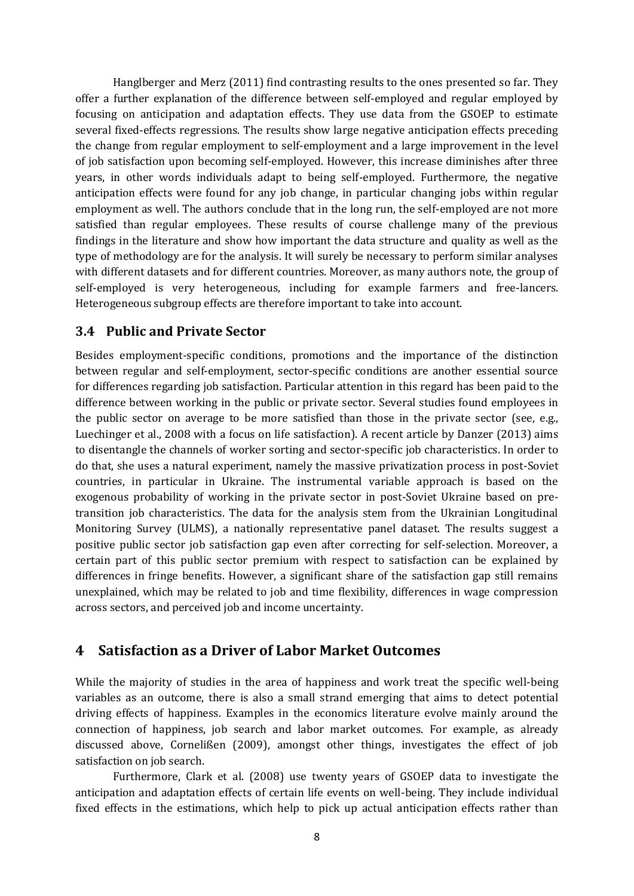Hanglberger and Merz (2011) find contrasting results to the ones presented so far. They offer a further explanation of the difference between self-employed and regular employed by focusing on anticipation and adaptation effects. They use data from the GSOEP to estimate several fixed-effects regressions. The results show large negative anticipation effects preceding the change from regular employment to self-employment and a large improvement in the level of job satisfaction upon becoming self-employed. However, this increase diminishes after three years, in other words individuals adapt to being self-employed. Furthermore, the negative anticipation effects were found for any job change, in particular changing jobs within regular employment as well. The authors conclude that in the long run, the self-employed are not more satisfied than regular employees. These results of course challenge many of the previous findings in the literature and show how important the data structure and quality as well as the type of methodology are for the analysis. It will surely be necessary to perform similar analyses with different datasets and for different countries. Moreover, as many authors note, the group of self-employed is very heterogeneous, including for example farmers and free-lancers. Heterogeneous subgroup effects are therefore important to take into account.

#### **3.4 Public and Private Sector**

Besides employment-specific conditions, promotions and the importance of the distinction between regular and self-employment, sector-specific conditions are another essential source for differences regarding job satisfaction. Particular attention in this regard has been paid to the difference between working in the public or private sector. Several studies found employees in the public sector on average to be more satisfied than those in the private sector (see, e.g., Luechinger et al., 2008 with a focus on life satisfaction). A recent article by Danzer (2013) aims to disentangle the channels of worker sorting and sector-specific job characteristics. In order to do that, she uses a natural experiment, namely the massive privatization process in post-Soviet countries, in particular in Ukraine. The instrumental variable approach is based on the exogenous probability of working in the private sector in post-Soviet Ukraine based on pretransition job characteristics. The data for the analysis stem from the Ukrainian Longitudinal Monitoring Survey (ULMS), a nationally representative panel dataset. The results suggest a positive public sector job satisfaction gap even after correcting for self-selection. Moreover, a certain part of this public sector premium with respect to satisfaction can be explained by differences in fringe benefits. However, a significant share of the satisfaction gap still remains unexplained, which may be related to job and time flexibility, differences in wage compression across sectors, and perceived job and income uncertainty.

# **4 Satisfaction as a Driver of Labor Market Outcomes**

While the majority of studies in the area of happiness and work treat the specific well-being variables as an outcome, there is also a small strand emerging that aims to detect potential driving effects of happiness. Examples in the economics literature evolve mainly around the connection of happiness, job search and labor market outcomes. For example, as already discussed above, Cornelißen (2009), amongst other things, investigates the effect of job satisfaction on job search.

Furthermore, Clark et al. (2008) use twenty years of GSOEP data to investigate the anticipation and adaptation effects of certain life events on well-being. They include individual fixed effects in the estimations, which help to pick up actual anticipation effects rather than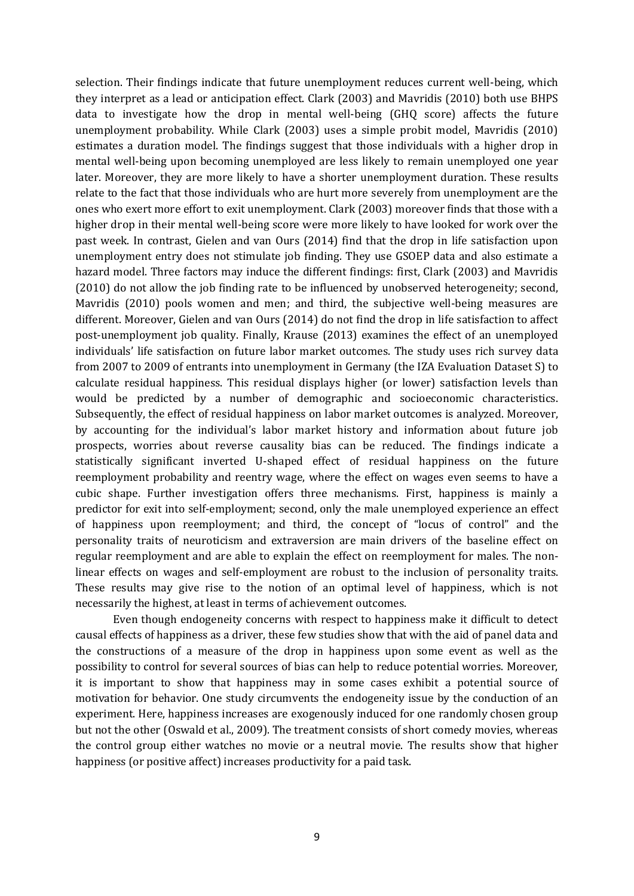selection. Their findings indicate that future unemployment reduces current well-being, which they interpret as a lead or anticipation effect. Clark (2003) and Mavridis (2010) both use BHPS data to investigate how the drop in mental well-being (GHQ score) affects the future unemployment probability. While Clark (2003) uses a simple probit model, Mavridis (2010) estimates a duration model. The findings suggest that those individuals with a higher drop in mental well-being upon becoming unemployed are less likely to remain unemployed one year later. Moreover, they are more likely to have a shorter unemployment duration. These results relate to the fact that those individuals who are hurt more severely from unemployment are the ones who exert more effort to exit unemployment. Clark (2003) moreover finds that those with a higher drop in their mental well-being score were more likely to have looked for work over the past week. In contrast, Gielen and van Ours (2014) find that the drop in life satisfaction upon unemployment entry does not stimulate job finding. They use GSOEP data and also estimate a hazard model. Three factors may induce the different findings: first, Clark (2003) and Mavridis (2010) do not allow the job finding rate to be influenced by unobserved heterogeneity; second, Mavridis (2010) pools women and men; and third, the subjective well-being measures are different. Moreover, Gielen and van Ours (2014) do not find the drop in life satisfaction to affect post-unemployment job quality. Finally, Krause (2013) examines the effect of an unemployed individuals' life satisfaction on future labor market outcomes. The study uses rich survey data from 2007 to 2009 of entrants into unemployment in Germany (the IZA Evaluation Dataset S) to calculate residual happiness. This residual displays higher (or lower) satisfaction levels than would be predicted by a number of demographic and socioeconomic characteristics. Subsequently, the effect of residual happiness on labor market outcomes is analyzed. Moreover, by accounting for the individual's labor market history and information about future job prospects, worries about reverse causality bias can be reduced. The findings indicate a statistically significant inverted U-shaped effect of residual happiness on the future reemployment probability and reentry wage, where the effect on wages even seems to have a cubic shape. Further investigation offers three mechanisms. First, happiness is mainly a predictor for exit into self-employment; second, only the male unemployed experience an effect of happiness upon reemployment; and third, the concept of "locus of control" and the personality traits of neuroticism and extraversion are main drivers of the baseline effect on regular reemployment and are able to explain the effect on reemployment for males. The nonlinear effects on wages and self-employment are robust to the inclusion of personality traits. These results may give rise to the notion of an optimal level of happiness, which is not necessarily the highest, at least in terms of achievement outcomes.

Even though endogeneity concerns with respect to happiness make it difficult to detect causal effects of happiness as a driver, these few studies show that with the aid of panel data and the constructions of a measure of the drop in happiness upon some event as well as the possibility to control for several sources of bias can help to reduce potential worries. Moreover, it is important to show that happiness may in some cases exhibit a potential source of motivation for behavior. One study circumvents the endogeneity issue by the conduction of an experiment. Here, happiness increases are exogenously induced for one randomly chosen group but not the other (Oswald et al., 2009). The treatment consists of short comedy movies, whereas the control group either watches no movie or a neutral movie. The results show that higher happiness (or positive affect) increases productivity for a paid task.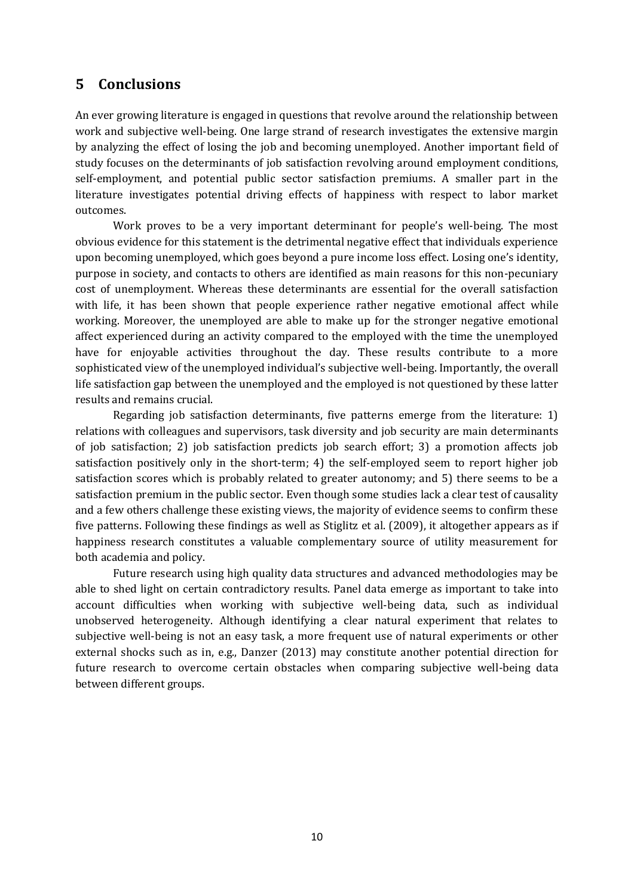## **5 Conclusions**

An ever growing literature is engaged in questions that revolve around the relationship between work and subjective well-being. One large strand of research investigates the extensive margin by analyzing the effect of losing the job and becoming unemployed. Another important field of study focuses on the determinants of job satisfaction revolving around employment conditions, self-employment, and potential public sector satisfaction premiums. A smaller part in the literature investigates potential driving effects of happiness with respect to labor market outcomes.

Work proves to be a very important determinant for people's well-being. The most obvious evidence for this statement is the detrimental negative effect that individuals experience upon becoming unemployed, which goes beyond a pure income loss effect. Losing one's identity, purpose in society, and contacts to others are identified as main reasons for this non-pecuniary cost of unemployment. Whereas these determinants are essential for the overall satisfaction with life, it has been shown that people experience rather negative emotional affect while working. Moreover, the unemployed are able to make up for the stronger negative emotional affect experienced during an activity compared to the employed with the time the unemployed have for enjoyable activities throughout the day. These results contribute to a more sophisticated view of the unemployed individual's subjective well-being. Importantly, the overall life satisfaction gap between the unemployed and the employed is not questioned by these latter results and remains crucial.

Regarding job satisfaction determinants, five patterns emerge from the literature: 1) relations with colleagues and supervisors, task diversity and job security are main determinants of job satisfaction; 2) job satisfaction predicts job search effort; 3) a promotion affects job satisfaction positively only in the short-term; 4) the self-employed seem to report higher job satisfaction scores which is probably related to greater autonomy; and 5) there seems to be a satisfaction premium in the public sector. Even though some studies lack a clear test of causality and a few others challenge these existing views, the majority of evidence seems to confirm these five patterns. Following these findings as well as Stiglitz et al. (2009), it altogether appears as if happiness research constitutes a valuable complementary source of utility measurement for both academia and policy.

Future research using high quality data structures and advanced methodologies may be able to shed light on certain contradictory results. Panel data emerge as important to take into account difficulties when working with subjective well-being data, such as individual unobserved heterogeneity. Although identifying a clear natural experiment that relates to subjective well-being is not an easy task, a more frequent use of natural experiments or other external shocks such as in, e.g., Danzer (2013) may constitute another potential direction for future research to overcome certain obstacles when comparing subjective well-being data between different groups.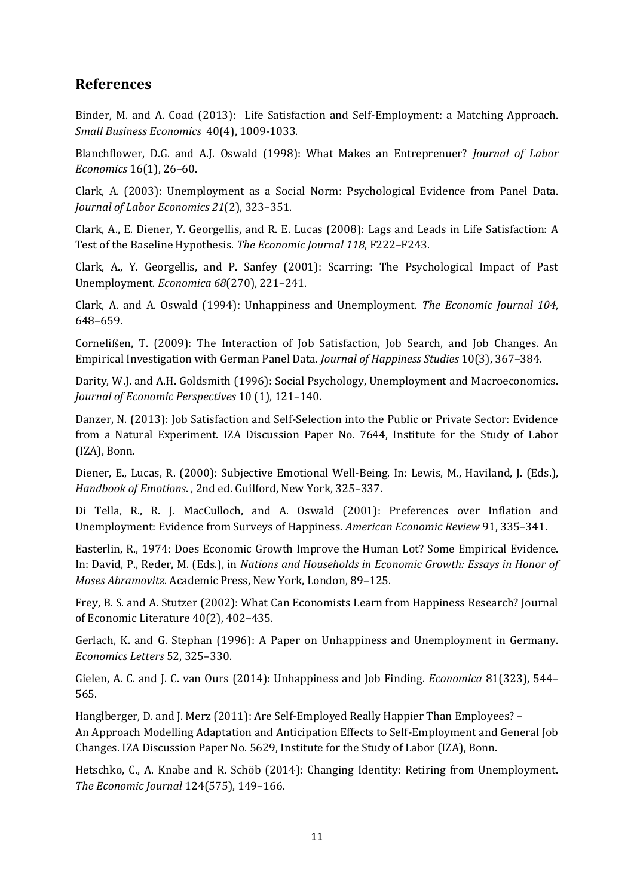# **References**

Binder, M. and A. Coad (2013): Life Satisfaction and Self-Employment: a Matching Approach. *Small Business Economics* 40(4), 1009-1033.

Blanchflower, D.G. and A.J. Oswald (1998): What Makes an Entreprenuer? *Journal of Labor Economics* 16(1), 26–60.

Clark, A. (2003): Unemployment as a Social Norm: Psychological Evidence from Panel Data. *Journal of Labor Economics 21*(2), 323–351.

Clark, A., E. Diener, Y. Georgellis, and R. E. Lucas (2008): Lags and Leads in Life Satisfaction: A Test of the Baseline Hypothesis. *The Economic Journal 118*, F222–F243.

Clark, A., Y. Georgellis, and P. Sanfey (2001): Scarring: The Psychological Impact of Past Unemployment. *Economica 68*(270), 221–241.

Clark, A. and A. Oswald (1994): Unhappiness and Unemployment. *The Economic Journal 104*, 648–659.

Cornelißen, T. (2009): The Interaction of Job Satisfaction, Job Search, and Job Changes. An Empirical Investigation with German Panel Data. *Journal of Happiness Studies* 10(3), 367–384.

Darity, W.J. and A.H. Goldsmith (1996): Social Psychology, Unemployment and Macroeconomics. *Journal of Economic Perspectives* 10 (1), 121–140.

Danzer, N. (2013): Job Satisfaction and Self-Selection into the Public or Private Sector: Evidence from a Natural Experiment. IZA Discussion Paper No. 7644, Institute for the Study of Labor (IZA), Bonn.

Diener, E., Lucas, R. (2000): Subjective Emotional Well-Being. In: Lewis, M., Haviland, J. (Eds.), *Handbook of Emotions*. , 2nd ed. Guilford, New York, 325–337.

Di Tella, R., R. J. MacCulloch, and A. Oswald (2001): Preferences over Inflation and Unemployment: Evidence from Surveys of Happiness. *American Economic Review* 91, 335–341.

Easterlin, R., 1974: Does Economic Growth Improve the Human Lot? Some Empirical Evidence. In: David, P., Reder, M. (Eds.), in *Nations and Households in Economic Growth: Essays in Honor of Moses Abramovitz*. Academic Press, New York, London, 89–125.

Frey, B. S. and A. Stutzer (2002): What Can Economists Learn from Happiness Research? Journal of Economic Literature 40(2), 402–435.

Gerlach, K. and G. Stephan (1996): A Paper on Unhappiness and Unemployment in Germany. *Economics Letters* 52, 325–330.

Gielen, A. C. and J. C. van Ours (2014): Unhappiness and Job Finding. *Economica* 81(323), 544– 565.

Hanglberger, D. and J. Merz (2011): Are Self-Employed Really Happier Than Employees? – An Approach Modelling Adaptation and Anticipation Effects to Self-Employment and General Job Changes. IZA Discussion Paper No. 5629, Institute for the Study of Labor (IZA), Bonn.

Hetschko, C., A. Knabe and R. Schöb (2014): Changing Identity: Retiring from Unemployment. *The Economic Journal* 124(575), 149–166.